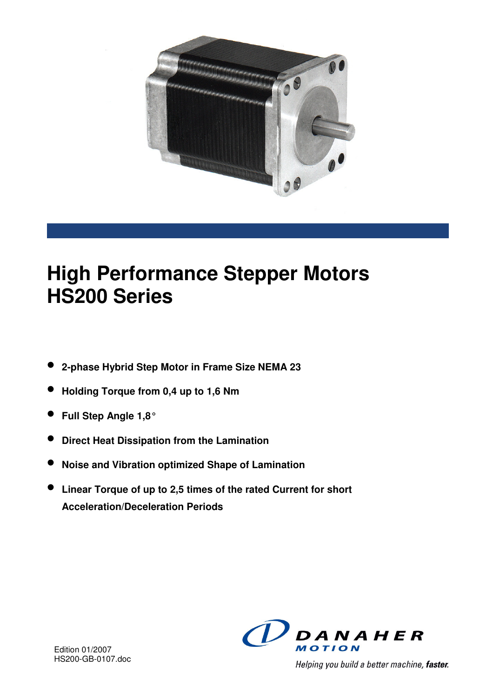

# **High Performance Stepper Motors HS200 Series**

- **2-phase Hybrid Step Motor in Frame Size NEMA 23**
- **Holding Torque from 0,4 up to 1,6 Nm**
- **Full Step Angle 1,8°**
- **Direct Heat Dissipation from the Lamination**
- **Noise and Vibration optimized Shape of Lamination**
- **Linear Torque of up to 2,5 times of the rated Current for short Acceleration/Deceleration Periods**



Helping you build a better machine, faster.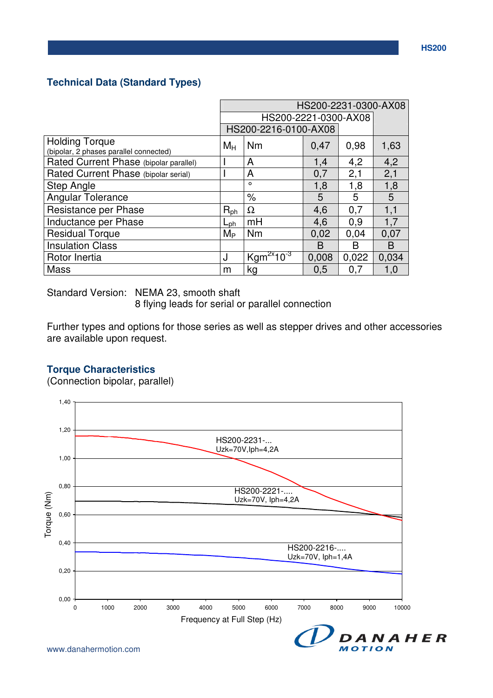### **Technical Data (Standard Types)**

|                                                                 | HS200-2231-0300-AX08 |                              |       |       |       |
|-----------------------------------------------------------------|----------------------|------------------------------|-------|-------|-------|
|                                                                 |                      | HS200-2221-0300-AX08         |       |       |       |
|                                                                 |                      | HS200-2216-0100-AX08         |       |       |       |
| <b>Holding Torque</b><br>(bipolar, 2 phases parallel connected) | $M_H$                | Nm                           | 0,47  | 0,98  | 1,63  |
| Rated Current Phase (bipolar parallel)                          |                      | A                            | 1,4   | 4,2   | 4,2   |
| Rated Current Phase (bipolar serial)                            |                      | A                            | 0,7   | 2,1   | 2,1   |
| <b>Step Angle</b>                                               |                      | $\circ$                      | 1,8   | 1,8   | 1,8   |
| <b>Angular Tolerance</b>                                        |                      | $\%$                         | 5     | 5     | 5     |
| Resistance per Phase                                            | $R_{ph}$             | $\Omega$                     | 4,6   | 0,7   | 1,1   |
| Inductance per Phase                                            | $L_{\rm ph}$         | mH                           | 4,6   | 0,9   | 1,7   |
| <b>Residual Torque</b>                                          | $M_{\rm P}$          | Nm                           | 0,02  | 0,04  | 0,07  |
| <b>Insulation Class</b>                                         |                      |                              | B     | в     | B     |
| Rotor Inertia                                                   | J                    | $2x$ 10 <sup>-3</sup><br>Kgm | 0,008 | 0,022 | 0,034 |
| Mass                                                            | m                    | kg                           | 0.5   | 0,7   | 1,0   |

Standard Version: NEMA 23, smooth shaft

8 flying leads for serial or parallel connection

Further types and options for those series as well as stepper drives and other accessories are available upon request.

#### **Torque Characteristics**

(Connection bipolar, parallel)

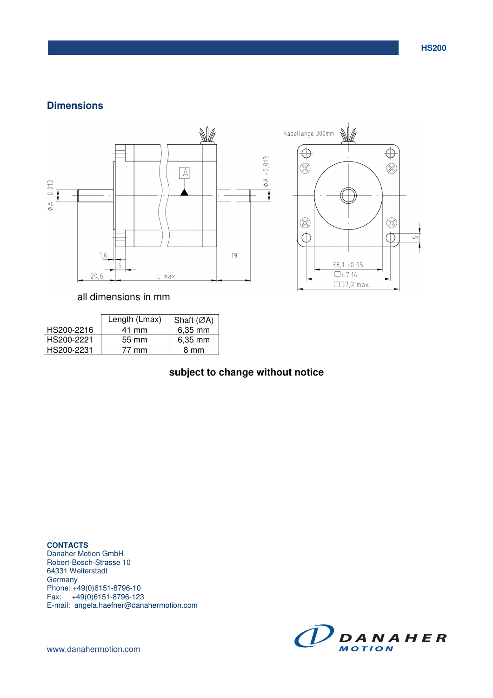#### **Dimensions**



all dimensions in mm

|            | Length (Lmax) | Shaft $(ØA)$ |
|------------|---------------|--------------|
| HS200-2216 | 41 mm         | $6,35$ mm    |
| HS200-2221 | 55 mm         | $6,35$ mm    |
| HS200-2231 | 77 mm         | 8 mm         |

## **subject to change without notice**

**CONTACTS**  Danaher Motion GmbH Robert-Bosch-Strasse 10 64331 Weiterstadt **Germany** Phone: +49(0)6151-8796-10 Fax: +49(0)6151-8796-123 E-mail: angela.haefner@danahermotion.com